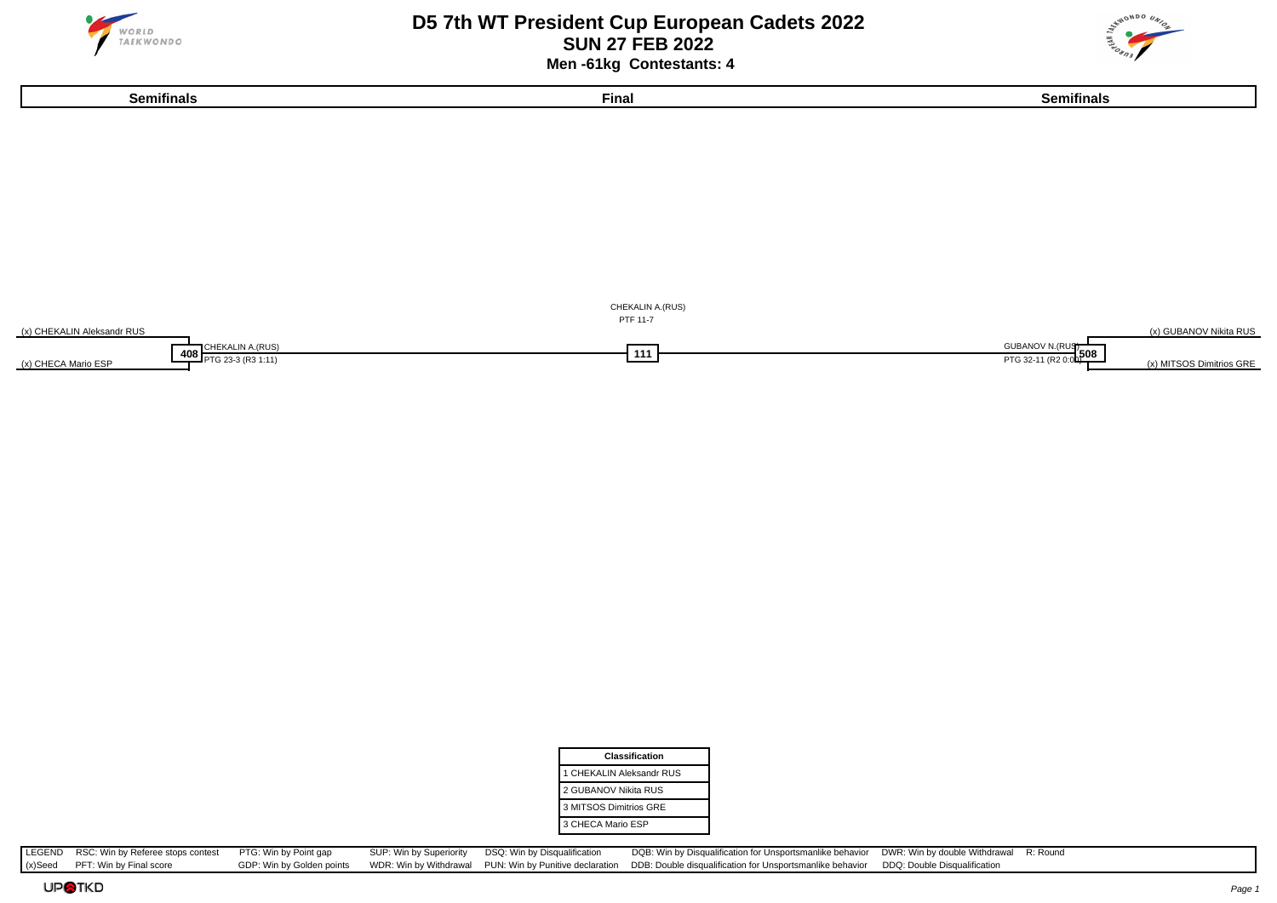

#### **D5 7th WT President Cup European Cadets 2022 SUN 27 FEB 2022 Men -61kg Contestants: 4**





| <b>Classification</b>    |
|--------------------------|
| 1 CHEKALIN Aleksandr RUS |
| 2 GUBANOV Nikita RUS     |
| 3 MITSOS Dimitrios GRE   |
| 3 CHECA Mario ESP        |

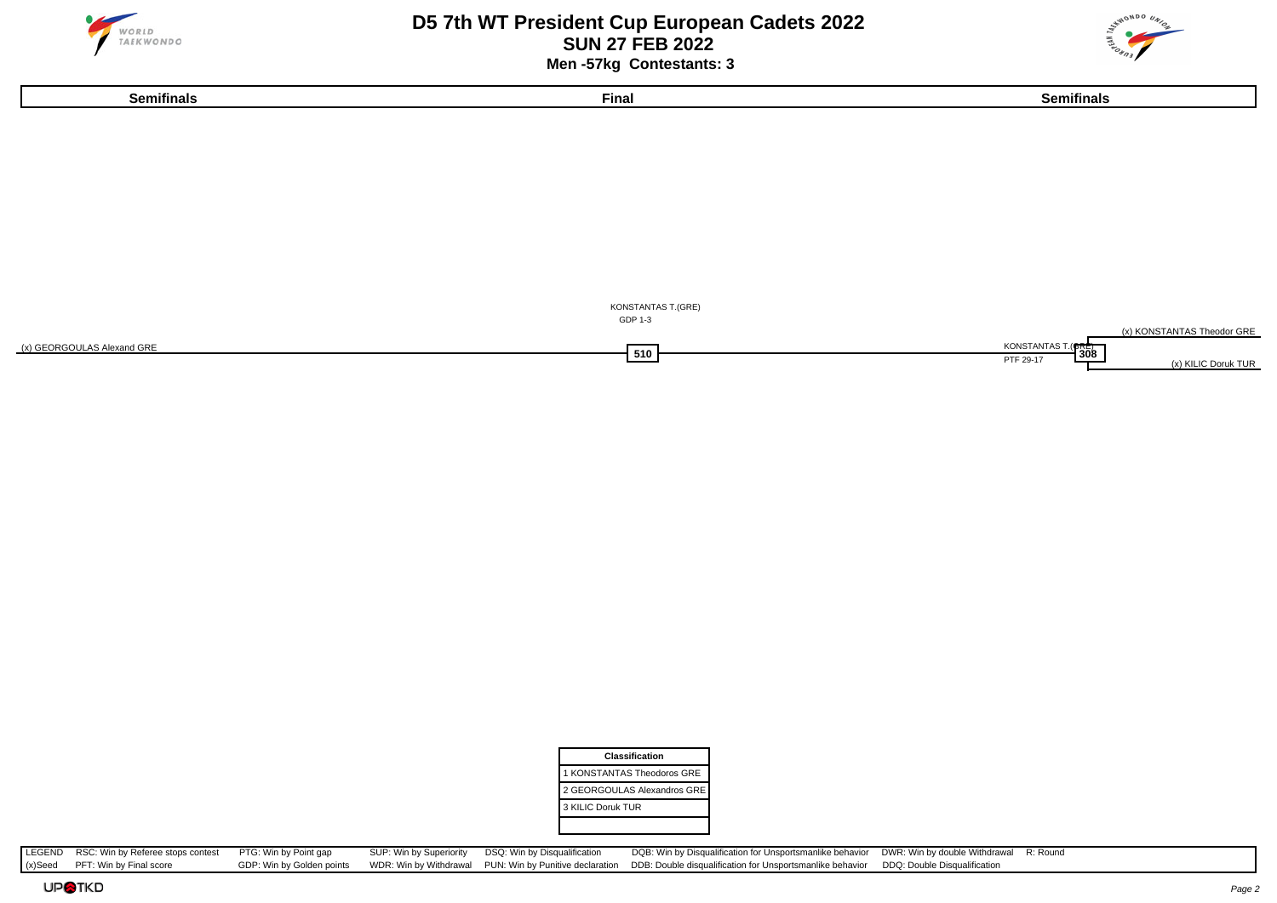

#### **D5 7th WT President Cup European Cadets 2022 SUN 27 FEB 2022 Men -57kg Contestants: 3**

**Semifinals Final Semifinals**





| Classification              |
|-----------------------------|
| 1 KONSTANTAS Theodoros GRE  |
| 2 GEORGOULAS Alexandros GRE |
| 3 KILIC Doruk TUR           |
|                             |

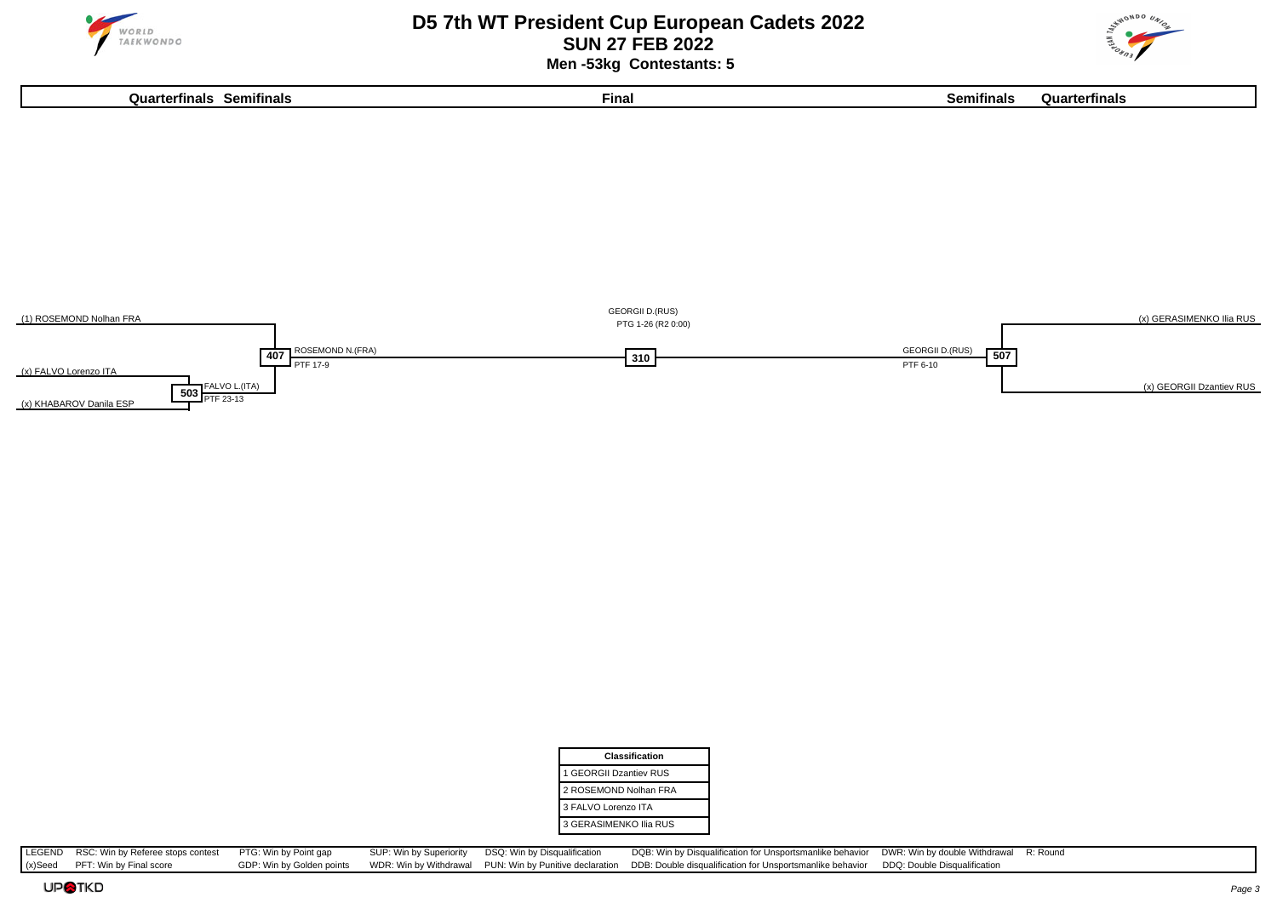

#### **D5 7th WT President Cup European Cadets 2022 SUN 27 FEB 2022 Men -53kg Contestants: 5**





| Classification         |  |
|------------------------|--|
| 1 GEORGII Dzantiev RUS |  |
| 2 ROSEMOND Nolhan FRA  |  |
| 3 FALVO Lorenzo ITA    |  |
| 3 GERASIMENKO Ilia RUS |  |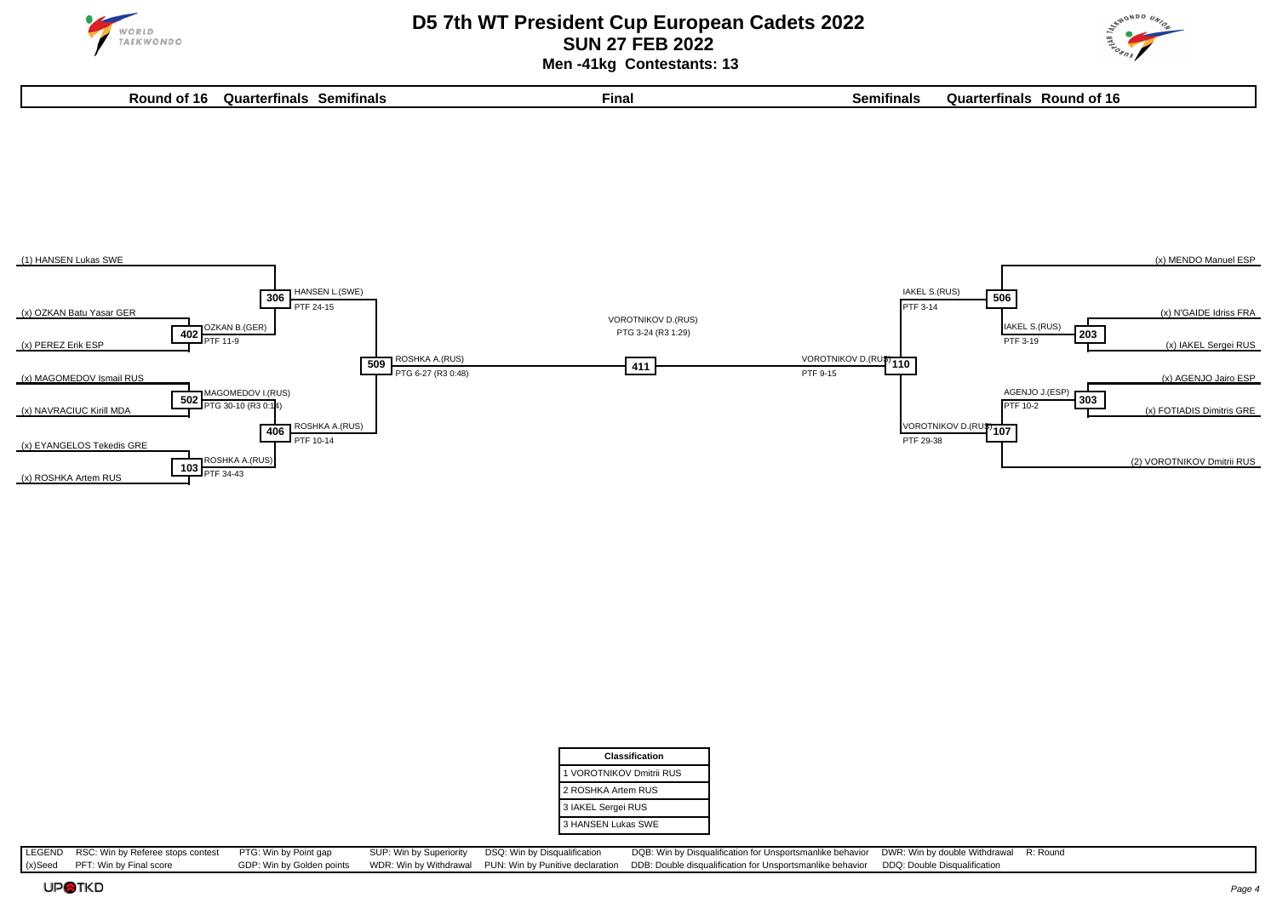

 **Men -41kg Contestants: 13**







| Classification           |
|--------------------------|
| 1 VOROTNIKOV Dmitrii RUS |
| 2 ROSHKA Artem RUS       |
| 3 IAKEL Sergei RUS       |
| 3 HANSEN Lukas SWE       |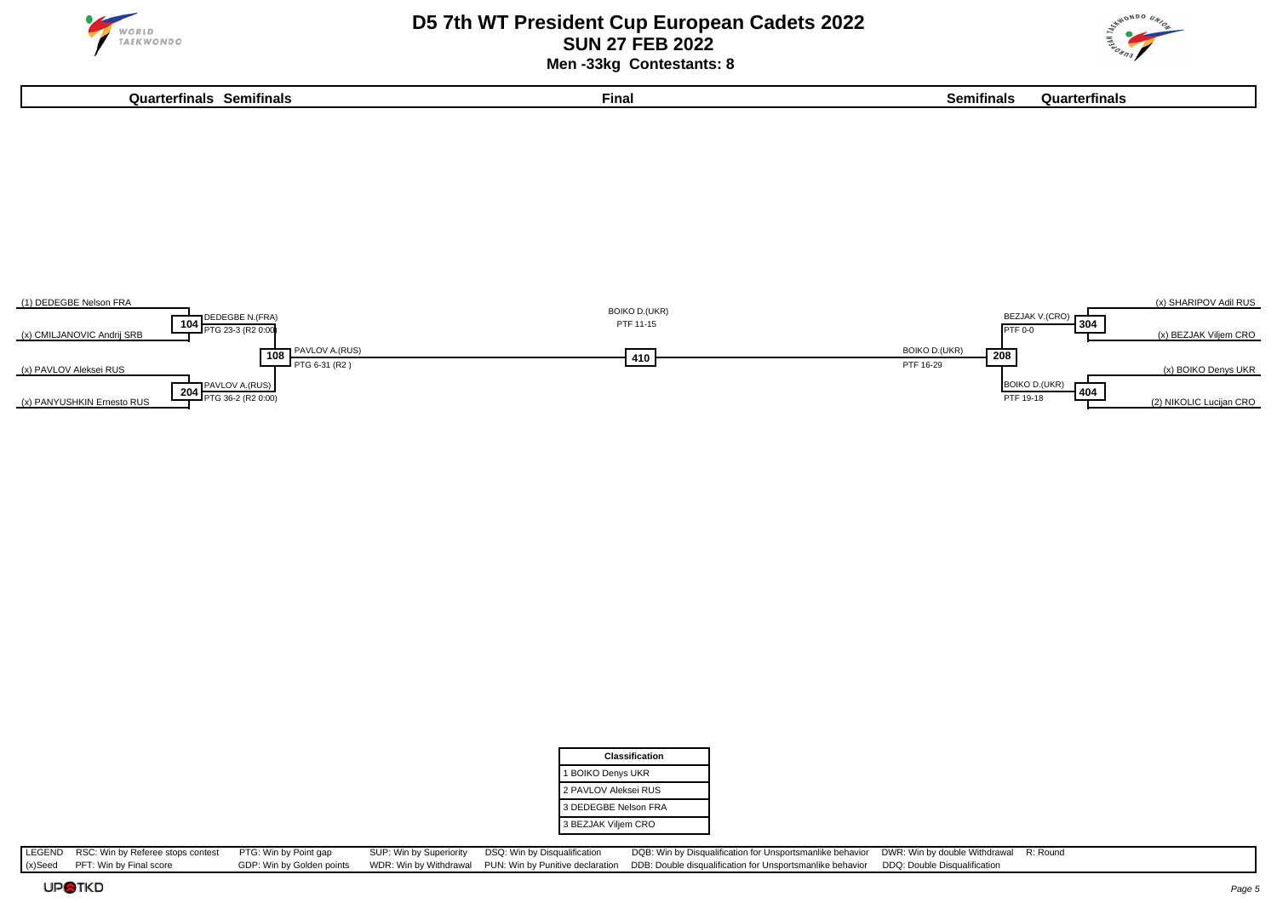

#### **D5 7th WT President Cup European Cadets 2022 SUN 27 FEB 2022 Men -33kg Contestants: 8**

**Quarterfinals Semifinals Final Semifinals Quarterfinals**





| Classification       |
|----------------------|
| 1 BOIKO Denys UKR    |
| 2 PAVLOV Aleksei RUS |
| 3 DEDEGBE Nelson FRA |
| 3 BEZJAK Viljem CRO  |

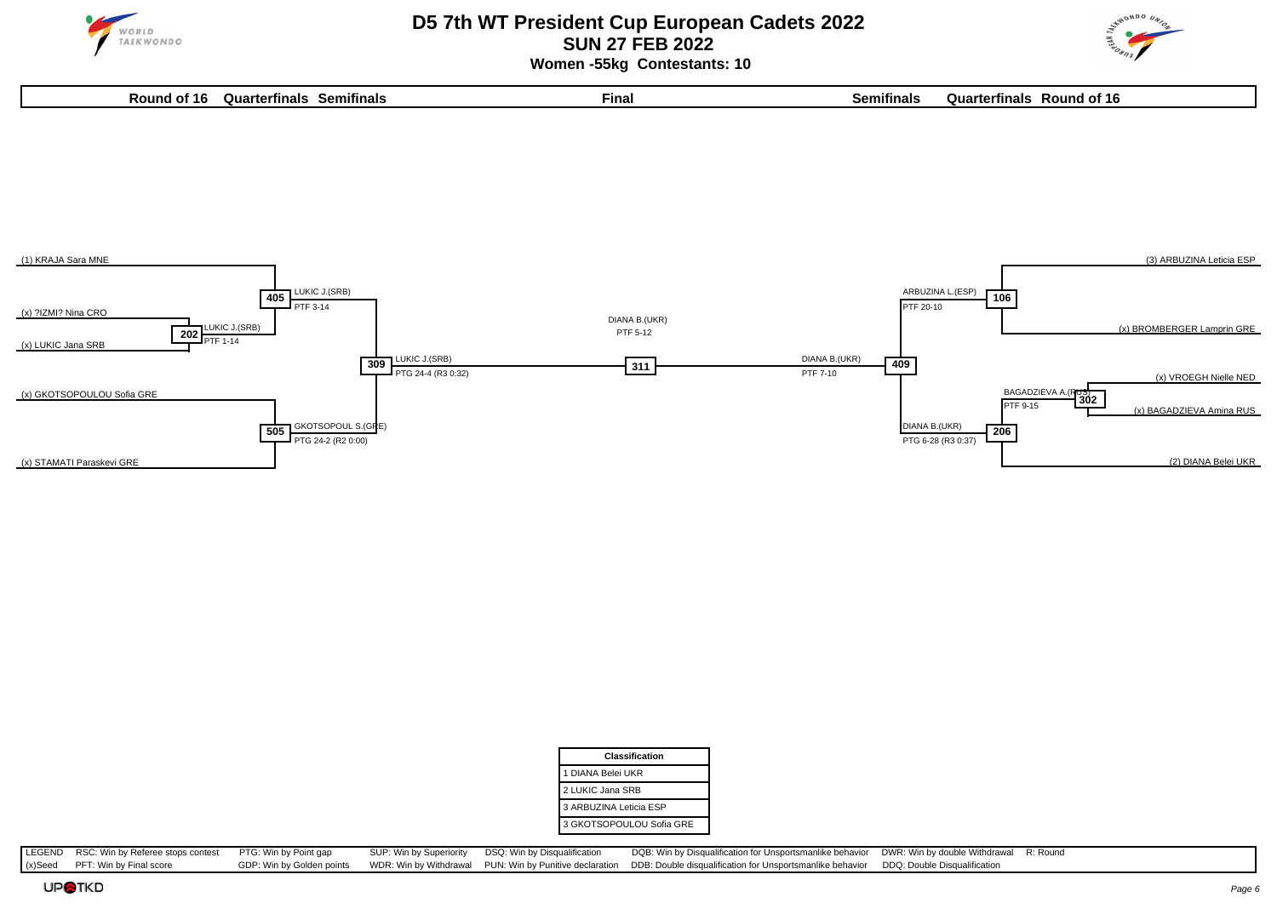

 **Women -55kg Contestants: 10**

**Round of 16 Quarterfinals Semifinals Final Semifinals Quarterfinals Round of 16**





| <b>Classification</b>    |
|--------------------------|
| 1 DIANA Belei UKR        |
| 2 LUKIC Jana SRB         |
| 3 ARBUZINA Leticia ESP   |
| 3 GKOTSOPOULOU Sofia GRE |

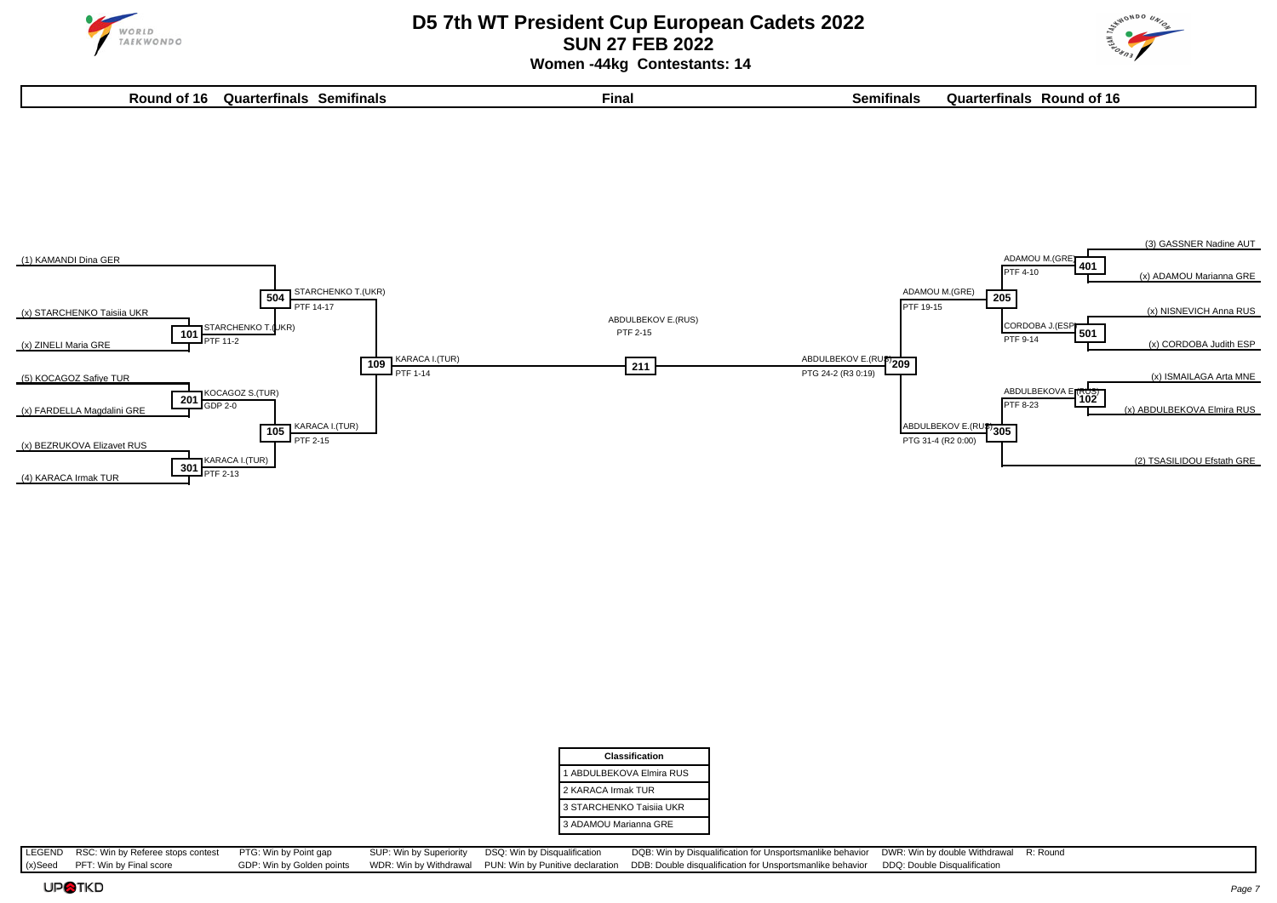



 **Women -44kg Contestants: 14**

| วนะ<br>Round<br>of 16 | - --<br>arterfinals<br>Semitinals | Final | <br>Semitinals | Juar<br>rterfinals<br>Round<br>וח ו<br>- 10 |
|-----------------------|-----------------------------------|-------|----------------|---------------------------------------------|
|                       |                                   |       |                |                                             |



| Classification           |
|--------------------------|
| 1 ABDULBEKOVA Elmira RUS |
| 2 KARACA Irmak TUR       |
| 3 STARCHENKO Taisija UKR |
| 3 ADAMOU Marianna GRE    |